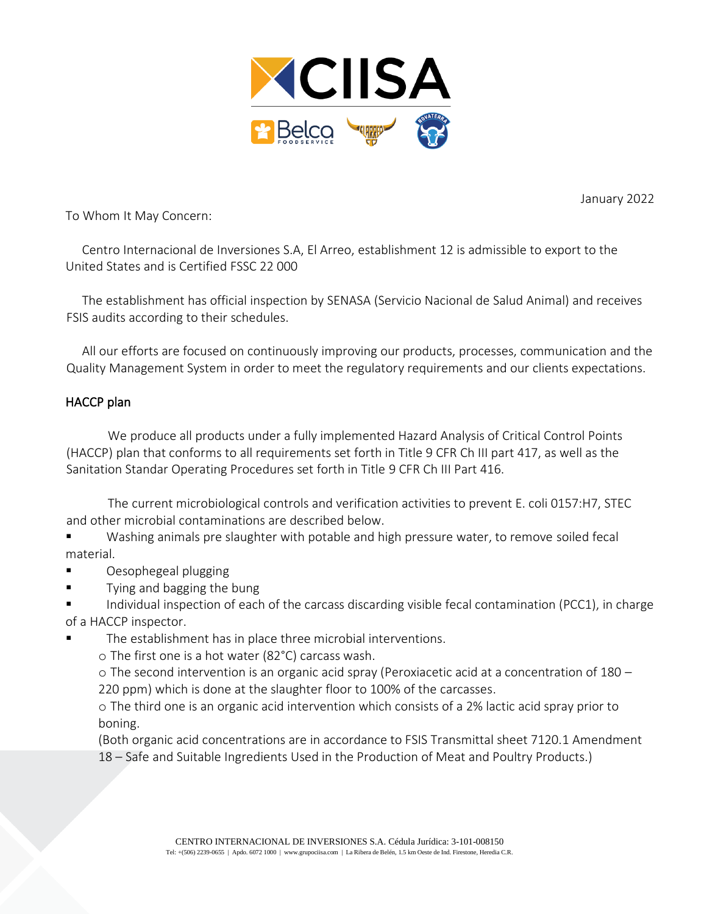

January 2022

To Whom It May Concern:

Centro Internacional de Inversiones S.A, El Arreo, establishment 12 is admissible to export to the United States and is Certified FSSC 22 000

The establishment has official inspection by SENASA (Servicio Nacional de Salud Animal) and receives FSIS audits according to their schedules.

All our efforts are focused on continuously improving our products, processes, communication and the Quality Management System in order to meet the regulatory requirements and our clients expectations.

## HACCP plan

We produce all products under a fully implemented Hazard Analysis of Critical Control Points (HACCP) plan that conforms to all requirements set forth in Title 9 CFR Ch III part 417, as well as the Sanitation Standar Operating Procedures set forth in Title 9 CFR Ch III Part 416.

The current microbiological controls and verification activities to prevent E. coli 0157:H7, STEC and other microbial contaminations are described below.

■ Washing animals pre slaughter with potable and high pressure water, to remove soiled fecal material.

- Oesophegeal plugging
- Tying and bagging the bung

Individual inspection of each of the carcass discarding visible fecal contamination (PCC1), in charge of a HACCP inspector.

- The establishment has in place three microbial interventions.
	- o The first one is a hot water (82°C) carcass wash.

o The second intervention is an organic acid spray (Peroxiacetic acid at a concentration of 180 – 220 ppm) which is done at the slaughter floor to 100% of the carcasses.

o The third one is an organic acid intervention which consists of a 2% lactic acid spray prior to boning.

(Both organic acid concentrations are in accordance to FSIS Transmittal sheet 7120.1 Amendment 18 – Safe and Suitable Ingredients Used in the Production of Meat and Poultry Products.)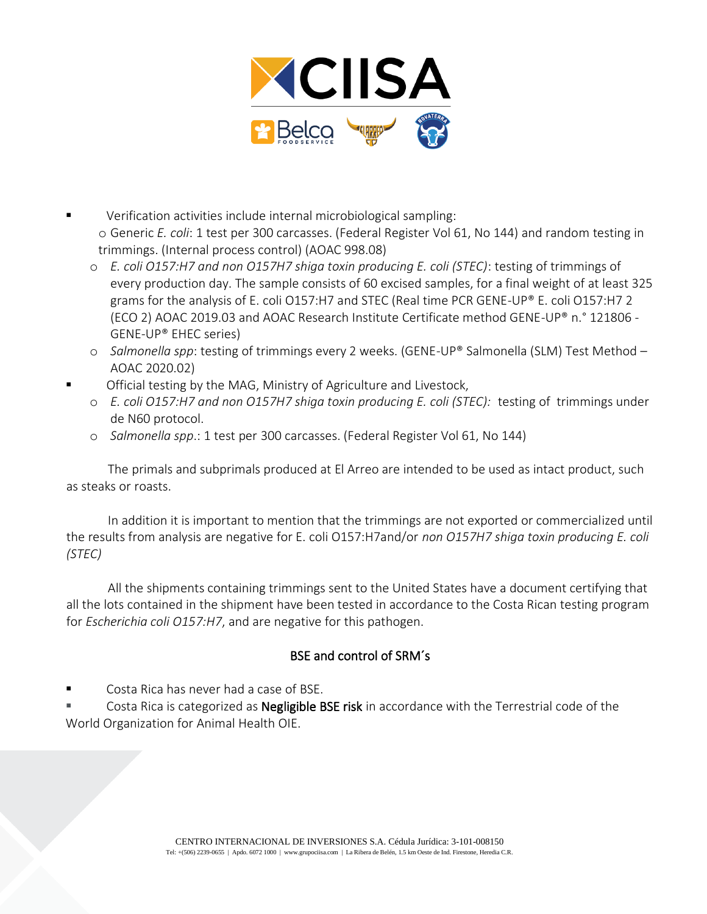

- Verification activities include internal microbiological sampling: o Generic *E. coli*: 1 test per 300 carcasses. (Federal Register Vol 61, No 144) and random testing in trimmings. (Internal process control) (AOAC 998.08)
	- o *E. coli O157:H7 and non O157H7 shiga toxin producing E. coli (STEC)*: testing of trimmings of every production day. The sample consists of 60 excised samples, for a final weight of at least 325 grams for the analysis of E. coli O157:H7 and STEC (Real time PCR GENE-UP® E. coli O157:H7 2 (ECO 2) AOAC 2019.03 and AOAC Research Institute Certificate method GENE-UP® n.° 121806 - GENE-UP® EHEC series)
	- o *Salmonella spp*: testing of trimmings every 2 weeks. (GENE-UP® Salmonella (SLM) Test Method AOAC 2020.02)
	- Official testing by the MAG, Ministry of Agriculture and Livestock,
		- o *E. coli O157:H7 and non O157H7 shiga toxin producing E. coli (STEC):* testing of trimmings under de N60 protocol.
		- o *Salmonella spp*.: 1 test per 300 carcasses. (Federal Register Vol 61, No 144)

The primals and subprimals produced at El Arreo are intended to be used as intact product, such as steaks or roasts.

In addition it is important to mention that the trimmings are not exported or commercialized until the results from analysis are negative for E. coli O157:H7and/or *non O157H7 shiga toxin producing E. coli (STEC)*

All the shipments containing trimmings sent to the United States have a document certifying that all the lots contained in the shipment have been tested in accordance to the Costa Rican testing program for *Escherichia coli O157:H7*, and are negative for this pathogen.

## BSE and control of SRM´s

Costa Rica has never had a case of BSE.

Costa Rica is categorized as Negligible BSE risk in accordance with the Terrestrial code of the World Organization for Animal Health OIE.